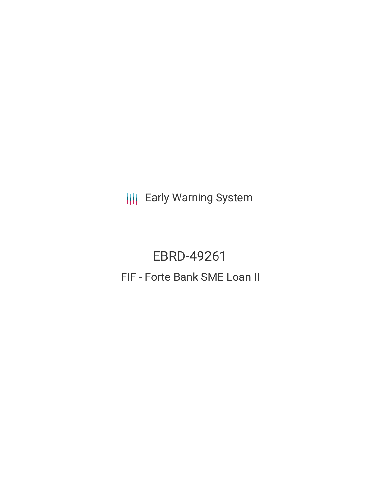**III** Early Warning System

EBRD-49261 FIF - Forte Bank SME Loan II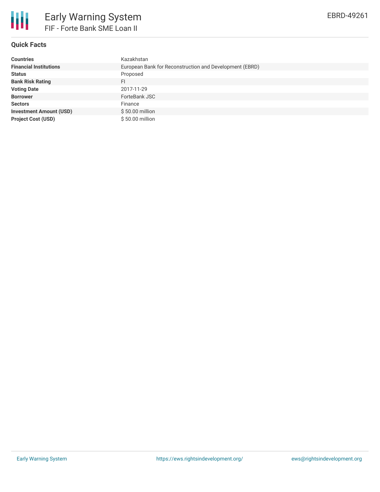

## **Quick Facts**

| <b>Countries</b>               | Kazakhstan                                              |
|--------------------------------|---------------------------------------------------------|
| <b>Financial Institutions</b>  | European Bank for Reconstruction and Development (EBRD) |
| <b>Status</b>                  | Proposed                                                |
| <b>Bank Risk Rating</b>        | FI                                                      |
| <b>Voting Date</b>             | 2017-11-29                                              |
| <b>Borrower</b>                | ForteBank JSC                                           |
| <b>Sectors</b>                 | Finance                                                 |
| <b>Investment Amount (USD)</b> | $$50.00$ million                                        |
| <b>Project Cost (USD)</b>      | \$50.00 million                                         |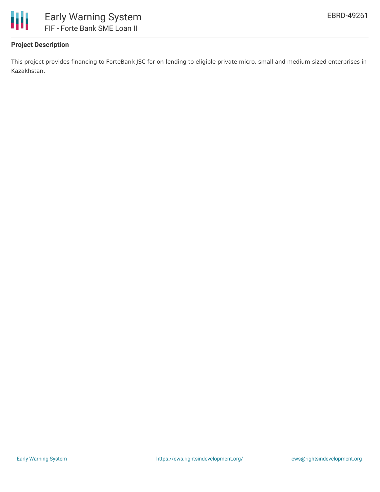

# **Project Description**

This project provides financing to ForteBank JSC for on-lending to eligible private micro, small and medium-sized enterprises in Kazakhstan.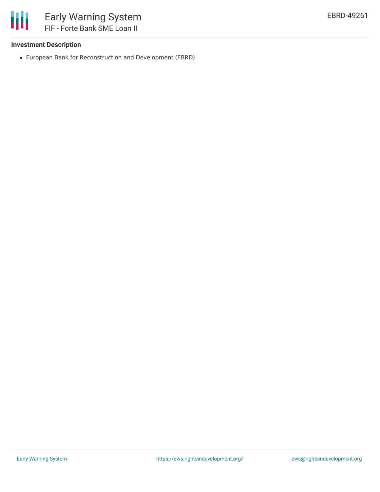

### **Investment Description**

European Bank for Reconstruction and Development (EBRD)